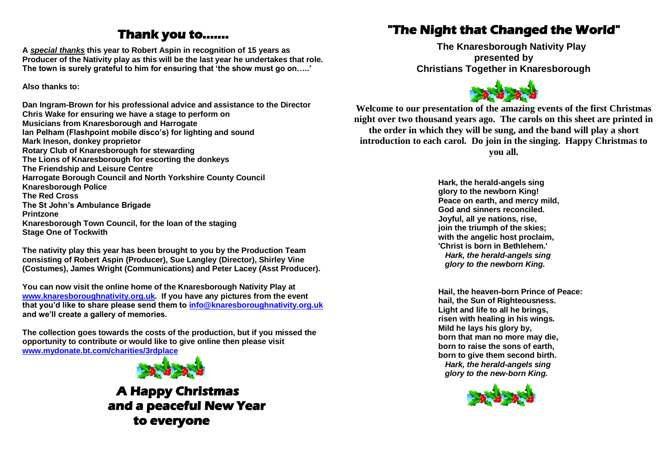## **Thank you to…….**

**A** *special thanks* **this year to Robert Aspin in recognition of 15 years as Producer of the Nativity play as this will be the last year he undertakes that role. The town is surely grateful to him for ensuring that 'the show must go on…..'**

**Also thanks to:**

**Dan Ingram-Brown for his professional advice and assistance to the Director Chris Wake for ensuring we have a stage to perform on Musicians from Knaresborough and Harrogate Ian Pelham (Flashpoint mobile disco's) for lighting and sound Mark Ineson, donkey proprietor Rotary Club of Knaresborough for stewarding The Lions of Knaresborough for escorting the donkeys The Friendship and Leisure Centre Harrogate Borough Council and North Yorkshire County Council Knaresborough Police The Red Cross The St John's Ambulance Brigade Printzone Knaresborough Town Council, for the loan of the staging Stage One of Tockwith**

**The nativity play this year has been brought to you by the Production Team consisting of Robert Aspin (Producer), Sue Langley (Director), Shirley Vine (Costumes), James Wright (Communications) and Peter Lacey (Asst Producer).**

**You can now visit the online home of the Knaresborough Nativity Play at [www.knaresboroughnativity.org.uk.](http://www.knaresboroughnativity.org.uk/) If you have any pictures from the event that you'd like to share please send them to [info@knaresboroughnativity.org.uk](mailto:info@knaresboroughnativity.org.uk) and we'll create a gallery of memories.**

**The collection goes towards the costs of the production, but if you missed the opportunity to contribute or would like to give online then please visit [www.mydonate.bt.com/charities/3rdplace](http://www.mydonate.bt.com/charities/3rdplace)**



 **A Happy Christmas and a peaceful New Year to everyone** 

## **"The Night that Changed the World"**

**The Knaresborough Nativity Play presented by Christians Together in Knaresborough**



**Welcome to our presentation of the amazing events of the first Christmas night over two thousand years ago. The carols on this sheet are printed in the order in which they will be sung, and the band will play a short introduction to each carol. Do join in the singing. Happy Christmas to you all.**

> **Hark, the herald-angels sing glory to the newborn King! Peace on earth, and mercy mild, God and sinners reconciled. Joyful, all ye nations, rise, join the triumph of the skies; with the angelic host proclaim, 'Christ is born in Bethlehem.'** *Hark, the herald-angels sing glory to the newborn King.*

**Hail, the heaven-born Prince of Peace: hail, the Sun of Righteousness. Light and life to all he brings, risen with healing in his wings. Mild he lays his glory by, born that man no more may die, born to raise the sons of earth, born to give them second birth.** *Hark, the herald-angels sing glory to the new-born King.*